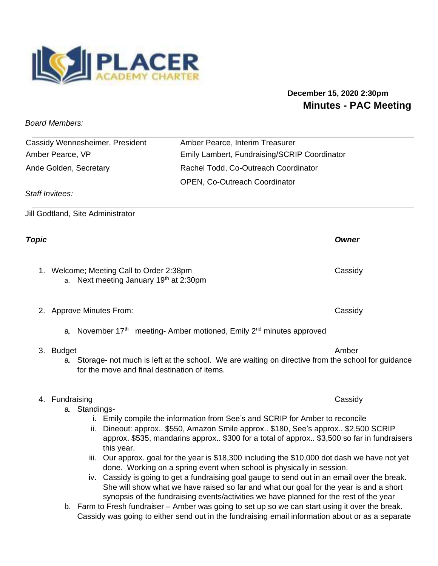

# **December 15, 2020 2:30pm Minutes - PAC Meeting**

*Board Members:* 

| Cassidy Wennesheimer, President | Amber Pearce, Interim Treasurer              |
|---------------------------------|----------------------------------------------|
| Amber Pearce, VP                | Emily Lambert, Fundraising/SCRIP Coordinator |
| Ande Golden, Secretary          | Rachel Todd, Co-Outreach Coordinator         |
|                                 | <b>OPEN, Co-Outreach Coordinator</b>         |

*Staff Invitees:* 

Jill Godtland, Site Administrator

# *Topic Owner*

1. Welcome; Meeting Call to Order 2:38pm Cassidy Cassidy a. Next meeting January 19<sup>th</sup> at 2:30pm

2. Approve Minutes From: Cassidy

a. November 17<sup>th</sup> meeting- Amber motioned, Emily 2<sup>nd</sup> minutes approved

### 3. Budget Amber Amber Amber Amber Amber Amber Amber Amber Amber Amber Amber Amber Amber Amber Amber Amber Amber

a. Storage- not much is left at the school. We are waiting on directive from the school for guidance for the move and final destination of items.

# 4. Fundraising Cassidy

- a. Standings
	- i. Emily compile the information from See's and SCRIP for Amber to reconcile
	- ii. Dineout: approx.. \$550, Amazon Smile approx.. \$180, See's approx.. \$2,500 SCRIP approx. \$535, mandarins approx.. \$300 for a total of approx.. \$3,500 so far in fundraisers this year.
	- iii. Our approx. goal for the year is \$18,300 including the \$10,000 dot dash we have not yet done. Working on a spring event when school is physically in session.
	- iv. Cassidy is going to get a fundraising goal gauge to send out in an email over the break. She will show what we have raised so far and what our goal for the year is and a short synopsis of the fundraising events/activities we have planned for the rest of the year
- b. Farm to Fresh fundraiser Amber was going to set up so we can start using it over the break. Cassidy was going to either send out in the fundraising email information about or as a separate